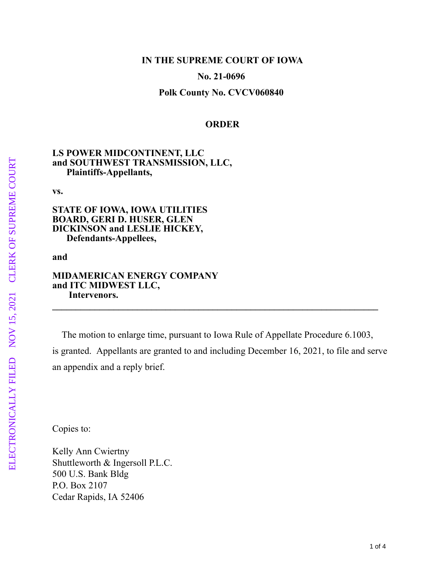## **IN THE SUPREME COURT OF IOWA**

**No. 21-0696** 

**Polk County No. CVCV060840** 

### **ORDER**

## **LS POWER MIDCONTINENT, LLC and SOUTHWEST TRANSMISSION, LLC, Plaintiffs-Appellants,**

**vs.**

**STATE OF IOWA, IOWA UTILITIES BOARD, GERI D. HUSER, GLEN DICKINSON and LESLIE HICKEY, Defendants-Appellees,**

#### **and**

# **MIDAMERICAN ENERGY COMPANY and ITC MIDWEST LLC, Intervenors.**

 The motion to enlarge time, pursuant to Iowa Rule of Appellate Procedure 6.1003, is granted. Appellants are granted to and including December 16, 2021, to file and serve an appendix and a reply brief.

**\_\_\_\_\_\_\_\_\_\_\_\_\_\_\_\_\_\_\_\_\_\_\_\_\_\_\_\_\_\_\_\_\_\_\_\_\_\_\_\_\_\_\_\_\_\_\_\_\_\_\_\_\_\_\_\_\_\_\_\_\_\_\_\_\_\_\_\_\_**

Copies to:

Kelly Ann Cwiertny Shuttleworth & Ingersoll P.L.C. 500 U.S. Bank Bldg P.O. Box 2107 Cedar Rapids, IA 52406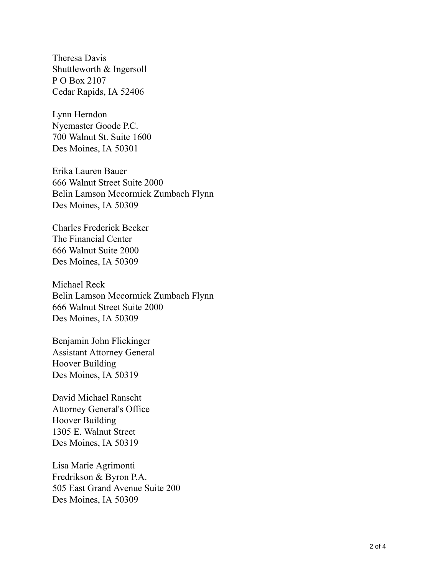Theresa Davis Shuttleworth & Ingersoll P O Box 2107 Cedar Rapids, IA 52406

Lynn Herndon Nyemaster Goode P.C. 700 Walnut St. Suite 1600 Des Moines, IA 50301

Erika Lauren Bauer 666 Walnut Street Suite 2000 Belin Lamson Mccormick Zumbach Flynn Des Moines, IA 50309

Charles Frederick Becker The Financial Center 666 Walnut Suite 2000 Des Moines, IA 50309

Michael Reck Belin Lamson Mccormick Zumbach Flynn 666 Walnut Street Suite 2000 Des Moines, IA 50309

Benjamin John Flickinger Assistant Attorney General Hoover Building Des Moines, IA 50319

David Michael Ranscht Attorney General's Office Hoover Building 1305 E. Walnut Street Des Moines, IA 50319

Lisa Marie Agrimonti Fredrikson & Byron P.A. 505 East Grand Avenue Suite 200 Des Moines, IA 50309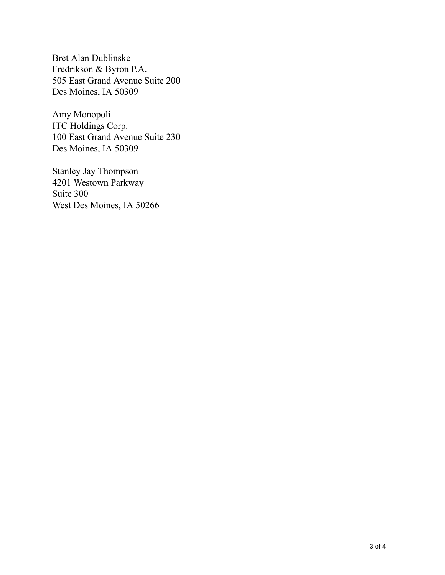Bret Alan Dublinske Fredrikson & Byron P.A. 505 East Grand Avenue Suite 200 Des Moines, IA 50309

Amy Monopoli ITC Holdings Corp. 100 East Grand Avenue Suite 230 Des Moines, IA 50309

Stanley Jay Thompson 4201 Westown Parkway Suite 300 West Des Moines, IA 50266